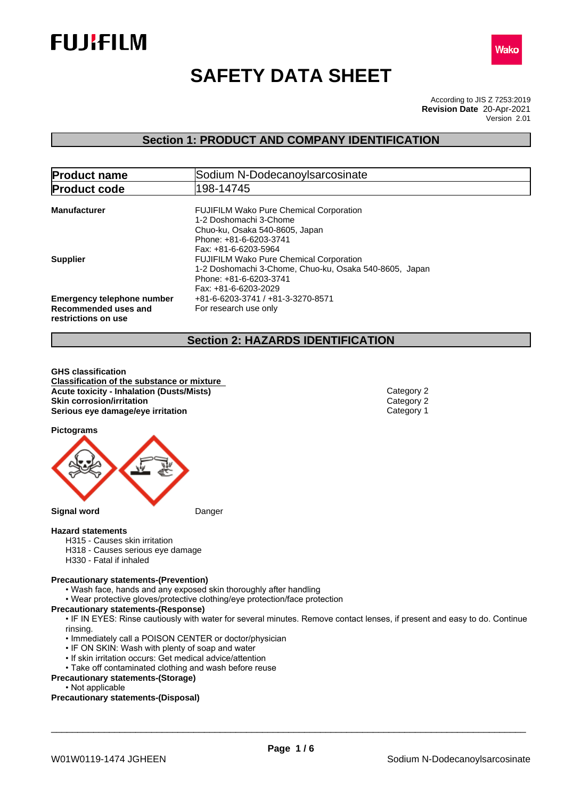



# **SAFETY DATA SHEET**

According to JIS Z 7253:2019 Version 2.01 **Revision Date** 20-Apr-2021

### **Section 1: PRODUCT AND COMPANY IDENTIFICATION**

| <b>Product name</b>                                                              | Sodium N-DodecanoyIsarcosinate                                                                                                                               |  |  |
|----------------------------------------------------------------------------------|--------------------------------------------------------------------------------------------------------------------------------------------------------------|--|--|
| <b>Product code</b>                                                              | 198-14745                                                                                                                                                    |  |  |
| <b>Manufacturer</b>                                                              | <b>FUJIFILM Wako Pure Chemical Corporation</b><br>1-2 Doshomachi 3-Chome<br>Chuo-ku, Osaka 540-8605, Japan<br>Phone: +81-6-6203-3741<br>Fax: +81-6-6203-5964 |  |  |
| <b>Supplier</b>                                                                  | <b>FUJIFILM Wako Pure Chemical Corporation</b><br>1-2 Doshomachi 3-Chome, Chuo-ku, Osaka 540-8605, Japan<br>Phone: +81-6-6203-3741<br>Fax: +81-6-6203-2029   |  |  |
| <b>Emergency telephone number</b><br>Recommended uses and<br>restrictions on use | +81-6-6203-3741 / +81-3-3270-8571<br>For research use only                                                                                                   |  |  |

### **Section 2: HAZARDS IDENTIFICATION**

**GHS classification Classification of the substance or mixture Acute toxicity - Inhalation (Dusts/Mists)** Category 2 **Skin corrosion/irritation**<br> **Serious eye damage/eye irritation**<br>
Category 1 **Serious** eye damage/eye irritation

**Pictograms**



#### **Hazard statements**

- H315 Causes skin irritation
- H318 Causes serious eye damage
- H330 Fatal if inhaled

#### **Precautionary statements-(Prevention)**

- Wash face, hands and any exposed skin thoroughly after handling
- Wear protective gloves/protective clothing/eye protection/face protection

#### **Precautionary statements-(Response)**

• IF IN EYES: Rinse cautiously with water for several minutes. Remove contact lenses, if present and easy to do. Continue rinsing.

- Immediately call a POISON CENTER or doctor/physician
- IF ON SKIN: Wash with plenty of soap and water
- If skin irritation occurs: Get medical advice/attention
- Take off contaminated clothing and wash before reuse
- **Precautionary statements-(Storage)**
	- Not applicable

**Precautionary statements-(Disposal)**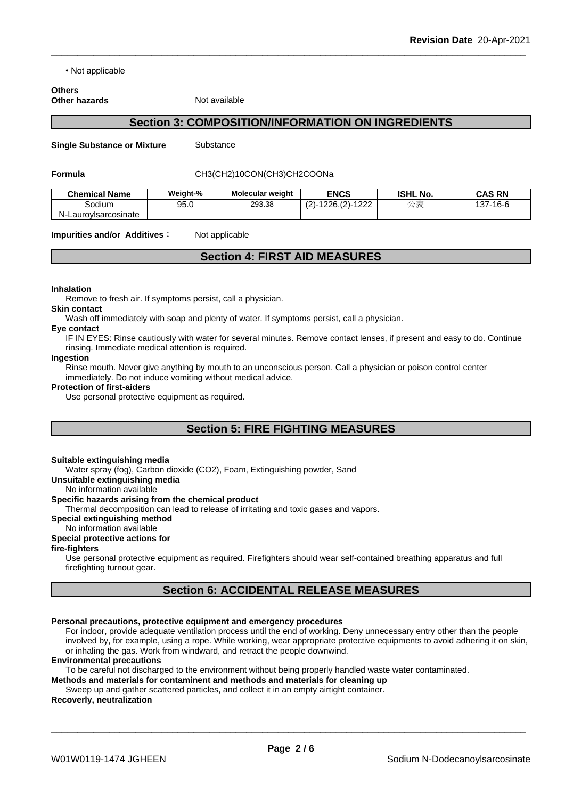• Not applicable

#### **Others Other hazards** Not available

### **Section 3: COMPOSITION/INFORMATION ON INGREDIENTS**

**Single Substance or Mixture** Substance

#### **Formula** CH3(CH2)10CON(CH3)CH2COONa

| <b>Chemical Name</b>       | Weight-% | Molecular weight | <b>ENCS</b>                                                 | <b>ISHL No.</b> | <b>CAS RN</b> |
|----------------------------|----------|------------------|-------------------------------------------------------------|-----------------|---------------|
| Sodium                     | 95.0     | 293.38           | $\sim$<br>1000<br>-1226<br>$\sim$<br>$\sim$<br>-- - - - - - | $\rightarrow$ 2 | 137-16-6      |
| Laurovisarcosinate<br>IN-1 |          |                  |                                                             |                 |               |

**Impurities and/or Additives:** Not applicable

## **Section 4: FIRST AID MEASURES**

#### **Inhalation**

Remove to fresh air. If symptoms persist, call a physician.

#### **Skin contact**

Wash off immediately with soap and plenty of water. If symptoms persist, call a physician.

## **Eye contact**

IF IN EYES: Rinse cautiously with water for several minutes. Remove contact lenses, if present and easy to do. Continue rinsing. Immediate medical attention is required.

#### **Ingestion**

Rinse mouth. Never give anything by mouth to an unconscious person. Call a physician or poison control center immediately. Do not induce vomiting without medical advice.

#### **Protection of first-aiders**

Use personal protective equipment as required.

## **Section 5: FIRE FIGHTING MEASURES**

#### **Suitable extinguishing media**

Water spray (fog), Carbon dioxide (CO2), Foam, Extinguishing powder. Sand

**Unsuitable extinguishing media**

#### No information available

#### **Specific hazards arising from the chemical product**

Thermal decomposition can lead to release of irritating and toxic gases and vapors.

#### **Special extinguishing method**

#### No information available

### **Special protective actions for**

#### **fire-fighters**

Use personal protective equipment as required.Firefighters should wear self-contained breathing apparatus and full firefighting turnout gear.

### **Section 6: ACCIDENTAL RELEASE MEASURES**

#### **Personal precautions, protective equipment and emergency procedures**

For indoor, provide adequate ventilation process until the end of working. Deny unnecessary entry other than the people involved by, for example, using a rope. While working, wear appropriate protective equipments to avoid adhering it on skin, or inhaling the gas. Work from windward, and retract the people downwind.

#### **Environmental precautions**

To be careful not discharged to the environment without being properly handled waste water contaminated.

**Methods and materials for contaminent and methods and materials for cleaning up**

### Sweep up and gather scattered particles, and collect it in an empty airtight container.

#### **Recoverly, neutralization**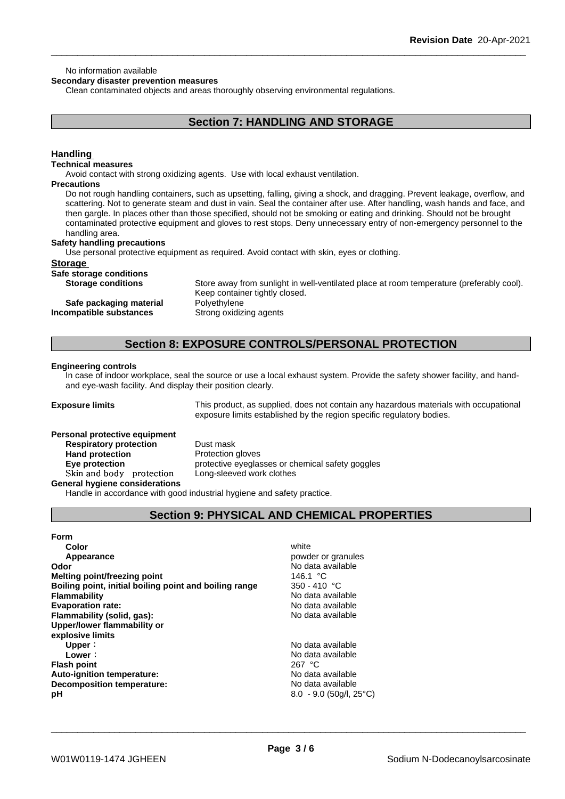#### No information available

**Secondary disaster prevention measures**

Clean contaminated objects and areas thoroughly observing environmental regulations.

### **Section 7: HANDLING AND STORAGE**

#### **Handling**

#### **Technical measures**

Avoid contact with strong oxidizing agents. Use with local exhaust ventilation.

#### **Precautions**

Do not rough handling containers, such as upsetting, falling, giving a shock, and dragging. Prevent leakage, overflow, and scattering. Not to generate steam and dust in vain. Seal the container after use. After handling, wash hands and face, and then gargle. In places other than those specified, should not be smoking or eating and drinking. Should not be brought contaminated protective equipment and gloves to rest stops. Deny unnecessary entry of non-emergency personnel to the handling area.

#### **Safety handling precautions**

Use personal protective equipment as required. Avoid contact with skin, eyes or clothing.

#### **Storage**

| Safe storage conditions |                |
|-------------------------|----------------|
| Ciarogo conditional     | $C$ toro quent |

**Storage conditions** Store away from sunlight in well-ventilated place at room temperature (preferably cool). Keep container tightly closed. **Safe packaging material Polyethylene Incompatible substances** Strong oxidizing agents

### **Section 8: EXPOSURE CONTROLS/PERSONAL PROTECTION**

#### **Engineering controls**

In case of indoor workplace, seal the source or use a local exhaust system. Provide the safety shower facility, and handand eye-wash facility. And display their position clearly.

**Exposure limits** This product, as supplied, does not contain any hazardous materials with occupational exposure limits established by the region specific regulatory bodies.

### **Personal protective equipment**

**Respiratory protection** Dust mask **Hand protection** Protection gloves **Eye protection protective eyeglasses or chemical safety goggles Skinandbody protection** Long-sleeved work clothes

**General hygiene considerations**

Handle in accordance with good industrial hygiene and safety practice.

### **Section 9: PHYSICAL AND CHEMICAL PROPERTIES**

**Form Color** white **Color** white **Color** white **Color** white **Color** white **Color Color Color Color Color Color Color Color Color Color Color Color Color Color Color Color Color Color Color Appearance** *Appearance Powder or granules* **Odor Odor** No data available **Melting point/freezing point CONS CONS Melting point/freezing point Melting point/freezing point**<br> **Boiling point, initial boiling point and boiling range** 350 - 410 °C **Boiling point, initial boiling point and boiling range Flammability** No data available<br> **Evaporation rate:**<br>
No data available<br>
No data available **Evaporation rate: Flammability (solid, gas):** No data available **Upper/lower flammability or explosive limits Upper**: No data available **Lower** :<br> **Lower** :<br> **Also point**<br> **Also point**<br> **Also point**<br> **Also point**<br> **Also point**<br> **Also point**<br> **Also point**<br>  $267 °C$ **Flash point Auto-ignition temperature:** No data available **Decomposition temperature:** No data available **pH** 8.0 - 9.0 (50g/l, 25°C)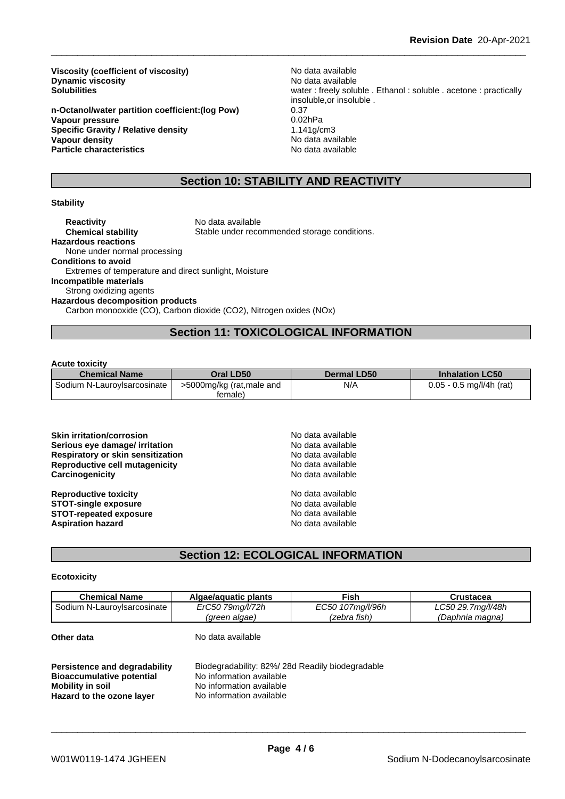**Viscosity (coefficient of viscosity)** No data available<br> **Dynamic viscosity** No data available **Dynamic viscosity**<br>Solubilities

**n-Octanol/water partition coefficient:(log Pow)** 0.37 **Vapour pressure Specific Gravity / Relative density 1.141g/cm3<br>
<b>Vapour density** 1.141g/cm3 **Particle characteristics** No data available

water : freely soluble . Ethanol : soluble . acetone : practically insoluble,or insoluble . **Vapour density** No data available

### **Section 10: STABILITY AND REACTIVITY**

#### **Stability**

**Reactivity** No data available **Chemical stability** Stable under recommended storage conditions. **Hazardous reactions** None under normal processing **Conditions to avoid** Extremes of temperature and direct sunlight, Moisture **Incompatible materials** Strong oxidizing agents **Hazardous decomposition products** Carbon monooxide (CO), Carbon dioxide (CO2), Nitrogen oxides (NOx)

### **Section 11: TOXICOLOGICAL INFORMATION**

#### **Acute toxicity**

| <b>Chemical Name</b>        | Oral LD50                | <b>Dermal LD50</b> | <b>Inhalation LC50</b>     |
|-----------------------------|--------------------------|--------------------|----------------------------|
| Sodium N-LauroyIsarcosinate | >5000mg/kg (rat,male and | N/A                | $0.05 - 0.5$ mg/l/4h (rat) |
|                             | female)                  |                    |                            |

| <b>Skin irritation/corrosion</b><br>Serious eye damage/ irritation<br>Respiratory or skin sensitization<br>Reproductive cell mutagenicity<br>Carcinogenicity | No data available<br>No data available<br>No data available<br>No data available<br>No data available |  |
|--------------------------------------------------------------------------------------------------------------------------------------------------------------|-------------------------------------------------------------------------------------------------------|--|
| <b>Reproductive toxicity</b><br><b>STOT-single exposure</b><br><b>STOT-repeated exposure</b><br><b>Aspiration hazard</b>                                     | No data available<br>No data available<br>No data available<br>No data available                      |  |

## **Section 12: ECOLOGICAL INFORMATION**

#### **Ecotoxicity**

| <b>Chemical Name</b>                                                                  | Algae/aguatic plants                                                                                    | <b>Fish</b>      | <b>Crustacea</b>  |
|---------------------------------------------------------------------------------------|---------------------------------------------------------------------------------------------------------|------------------|-------------------|
| Sodium N-Lauroylsarcosinate                                                           | ErC50 79mg/l/72h                                                                                        | EC50 107mg/l/96h | LC50 29.7mg/l/48h |
|                                                                                       | (green algae)                                                                                           | (zebra fish)     | (Daphnia magna)   |
| Other data                                                                            | No data available                                                                                       |                  |                   |
| Persistence and degradability<br><b>Bioaccumulative potential</b><br>Mobility in soil | Biodegradability: 82%/28d Readily biodegradable<br>No information available<br>No information available |                  |                   |
| Hazard to the ozone layer                                                             | No information available                                                                                |                  |                   |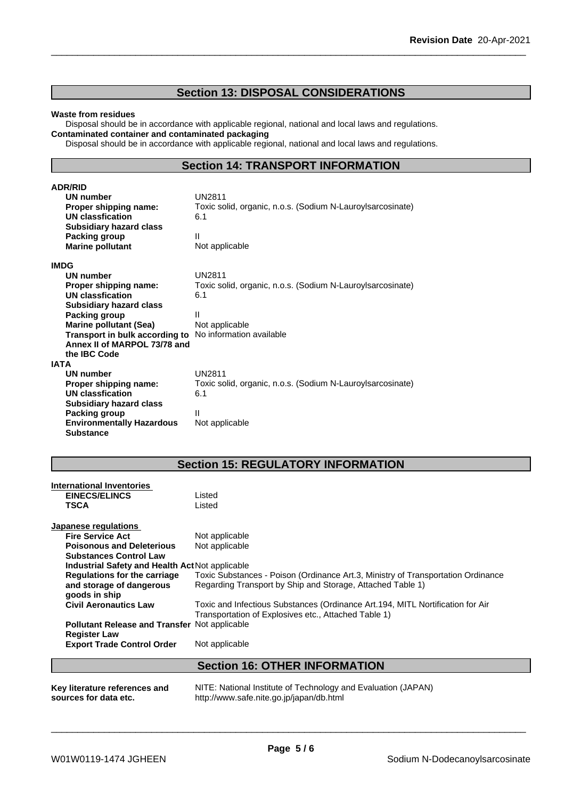### **Section 13: DISPOSAL CONSIDERATIONS**

#### **Waste from residues**

Disposal should be in accordance with applicable regional, national and local laws and regulations. **Contaminated container and contaminated packaging**

Disposal should be in accordance with applicable regional, national and local laws and regulations.

### **Section 14: TRANSPORT INFORMATION**

| <b>ADR/RID</b>                   |                                                            |
|----------------------------------|------------------------------------------------------------|
| UN number                        | <b>UN2811</b>                                              |
| Proper shipping name:            | Toxic solid, organic, n.o.s. (Sodium N-Lauroy sarcosinate) |
| UN classfication                 | 6.1                                                        |
| <b>Subsidiary hazard class</b>   |                                                            |
| Packing group                    | Ш                                                          |
| <b>Marine pollutant</b>          | Not applicable                                             |
| <b>IMDG</b>                      |                                                            |
| UN number                        | <b>UN2811</b>                                              |
| Proper shipping name:            | Toxic solid, organic, n.o.s. (Sodium N-Lauroy sarcosinate) |
| UN classfication                 | 6.1                                                        |
| <b>Subsidiary hazard class</b>   |                                                            |
| Packing group                    | Ш                                                          |
| <b>Marine pollutant (Sea)</b>    | Not applicable                                             |
| Transport in bulk according to   | No information available                                   |
| Annex II of MARPOL 73/78 and     |                                                            |
| the <b>IBC</b> Code              |                                                            |
| <b>IATA</b>                      |                                                            |
| <b>UN number</b>                 | <b>UN2811</b>                                              |
| Proper shipping name:            | Toxic solid, organic, n.o.s. (Sodium N-Lauroy sarcosinate) |
| <b>UN classfication</b>          | 6.1                                                        |
| <b>Subsidiary hazard class</b>   |                                                            |
| Packing group                    | Ш                                                          |
| <b>Environmentally Hazardous</b> | Not applicable                                             |
| <b>Substance</b>                 |                                                            |

## **Section 15: REGULATORY INFORMATION**

| <b>International Inventories</b>                       |                                                                                                                                        |
|--------------------------------------------------------|----------------------------------------------------------------------------------------------------------------------------------------|
| <b>EINECS/ELINCS</b>                                   | Listed                                                                                                                                 |
| <b>TSCA</b>                                            | Listed                                                                                                                                 |
| Japanese regulations                                   |                                                                                                                                        |
| <b>Fire Service Act</b>                                | Not applicable                                                                                                                         |
| <b>Poisonous and Deleterious</b>                       | Not applicable                                                                                                                         |
| <b>Substances Control Law</b>                          |                                                                                                                                        |
| <b>Industrial Safety and Health Act Not applicable</b> |                                                                                                                                        |
| <b>Regulations for the carriage</b>                    | Toxic Substances - Poison (Ordinance Art.3, Ministry of Transportation Ordinance                                                       |
| and storage of dangerous<br>goods in ship              | Regarding Transport by Ship and Storage, Attached Table 1)                                                                             |
| <b>Civil Aeronautics Law</b>                           | Toxic and Infectious Substances (Ordinance Art.194, MITL Nortification for Air<br>Transportation of Explosives etc., Attached Table 1) |
| <b>Pollutant Release and Transfer Not applicable</b>   |                                                                                                                                        |
| <b>Register Law</b>                                    |                                                                                                                                        |
| <b>Export Trade Control Order</b>                      | Not applicable                                                                                                                         |
|                                                        | <b>Section 16: OTHER INFORMATION</b>                                                                                                   |
| Key literature references and<br>sources for data etc. | NITE: National Institute of Technology and Evaluation (JAPAN)<br>http://www.safe.nite.go.jp/japan/db.html                              |